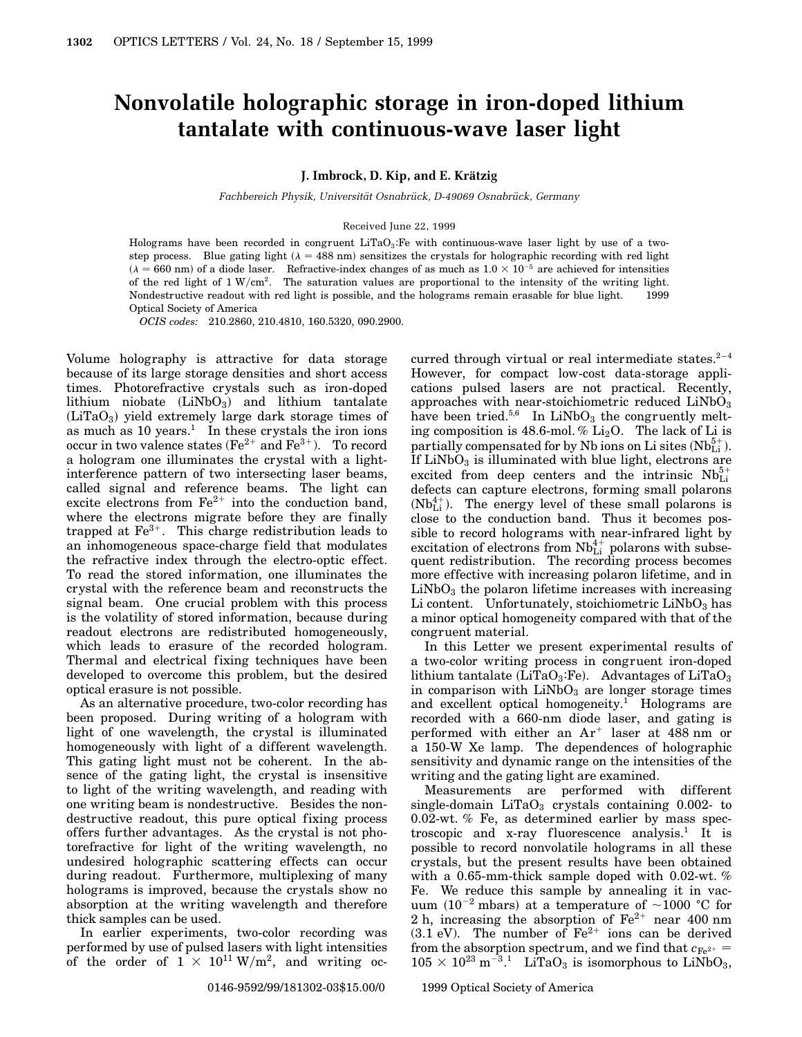## **Nonvolatile holographic storage in iron-doped lithium tantalate with continuous-wave laser light**

**J. Imbrock, D. Kip, and E. Kratzig ¨**

*Fachbereich Physik, Universität Osnabrück, D-49069 Osnabrück, Germany* 

## Received June 22, 1999

Holograms have been recorded in congruent  $LiTaO_3$ : Fe with continuous-wave laser light by use of a twostep process. Blue gating light ( $\lambda = 488$  nm) sensitizes the crystals for holographic recording with red light  $(\lambda = 660 \text{ nm})$  of a diode laser. Refractive-index changes of as much as  $1.0 \times 10^{-5}$  are achieved for intensities of the red light of  $1 \text{ W/cm}^2$ . The saturation values are proportional to the intensity of the writing light. Nondestructive readout with red light is possible, and the holograms remain erasable for blue light.  $\circ$  1999 Optical Society of America

*OCIS codes:* 210.2860, 210.4810, 160.5320, 090.2900.

Volume holography is attractive for data storage because of its large storage densities and short access times. Photorefractive crystals such as iron-doped  $\text{lithium}$  niobate  $\text{LiNbO}_3\text{)}$  and  $\text{lithium}$  tantalate  $(LiTaO<sub>3</sub>)$  yield extremely large dark storage times of as much as  $10 \text{ years.}$ <sup>1</sup> In these crystals the iron ions occur in two valence states ( $Fe^{2+}$  and  $Fe^{3+}$ ). To record a hologram one illuminates the crystal with a lightinterference pattern of two intersecting laser beams, called signal and reference beams. The light can excite electrons from  $\text{Fe}^{2+}$  into the conduction band, where the electrons migrate before they are finally trapped at  $Fe<sup>3+</sup>$ . This charge redistribution leads to an inhomogeneous space-charge field that modulates the refractive index through the electro-optic effect. To read the stored information, one illuminates the crystal with the reference beam and reconstructs the signal beam. One crucial problem with this process is the volatility of stored information, because during readout electrons are redistributed homogeneously, which leads to erasure of the recorded hologram. Thermal and electrical fixing techniques have been developed to overcome this problem, but the desired optical erasure is not possible.

As an alternative procedure, two-color recording has been proposed. During writing of a hologram with light of one wavelength, the crystal is illuminated homogeneously with light of a different wavelength. This gating light must not be coherent. In the absence of the gating light, the crystal is insensitive to light of the writing wavelength, and reading with one writing beam is nondestructive. Besides the nondestructive readout, this pure optical fixing process offers further advantages. As the crystal is not photorefractive for light of the writing wavelength, no undesired holographic scattering effects can occur during readout. Furthermore, multiplexing of many holograms is improved, because the crystals show no absorption at the writing wavelength and therefore thick samples can be used.

In earlier experiments, two-color recording was performed by use of pulsed lasers with light intensities of the order of  $1 \times 10^{11} \,\mathrm{W/m^2}$ , and writing occurred through virtual or real intermediate states. $2-4$ However, for compact low-cost data-storage applications pulsed lasers are not practical. Recently, approaches with near-stoichiometric reduced  $LiNbO<sub>3</sub>$ have been tried.<sup>5,6</sup> In LiNbO<sub>3</sub> the congruently melting composition is 48.6-mol. %  $Li<sub>2</sub>O$ . The lack of Li is  $\text{partially compensated}$  for by Nb ions on Li sites  $(\text{Nb}^{5+}_{\text{Li}})$ . If  $LiNbO<sub>3</sub>$  is illuminated with blue light, electrons are excited from deep centers and the intrinsic  $Nb<sub>Li</sub><sup>5+</sup>$ defects can capture electrons, forming small polarons  $(Nb_{Li}^{4+})$ . The energy level of these small polarons is close to the conduction band. Thus it becomes possible to record holograms with near-infrared light by excitation of electrons from  $Nb<sub>Li</sub><sup>4+</sup>$  polarons with subsequent redistribution. The recording process becomes more effective with increasing polaron lifetime, and in  $LiNbO<sub>3</sub>$  the polaron lifetime increases with increasing Li content. Unfortunately, stoichiometric  $LiNbO<sub>3</sub>$  has a minor optical homogeneity compared with that of the congruent material.

In this Letter we present experimental results of a two-color writing process in congruent iron-doped  $\text{libium}$  tantalate (LiTaO<sub>3</sub>:Fe). Advantages of LiTaO<sub>3</sub> in comparison with  $LiNbO<sub>3</sub>$  are longer storage times and excellent optical homogeneity.<sup>1</sup> Holograms are recorded with a 660-nm diode laser, and gating is performed with either an  $Ar^+$  laser at 488 nm or a 150-W Xe lamp. The dependences of holographic sensitivity and dynamic range on the intensities of the writing and the gating light are examined.

Measurements are performed with different single-domain  $LiTaO<sub>3</sub>$  crystals containing 0.002- to 0.02-wt. % Fe, as determined earlier by mass spectroscopic and x-ray fluorescence analysis.<sup>1</sup> It is possible to record nonvolatile holograms in all these crystals, but the present results have been obtained with a 0.65-mm-thick sample doped with 0.02-wt. % Fe. We reduce this sample by annealing it in vacuum (10<sup>-2</sup> mbars) at a temperature of  $\sim$ 1000 °C for 2 h, increasing the absorption of  $\text{Fe}^{2+}$  near 400 nm  $(3.1 \text{ eV})$ . The number of  $\text{Fe}^{2+}$  ions can be derived from the absorption spectrum, and we find that  $c_{Fe^{2+}} =$  $105 \times 10^{23}$  m<sup>-3</sup>.<sup>1</sup> LiTaO<sub>3</sub> is isomorphous to LiNbO<sub>3</sub>,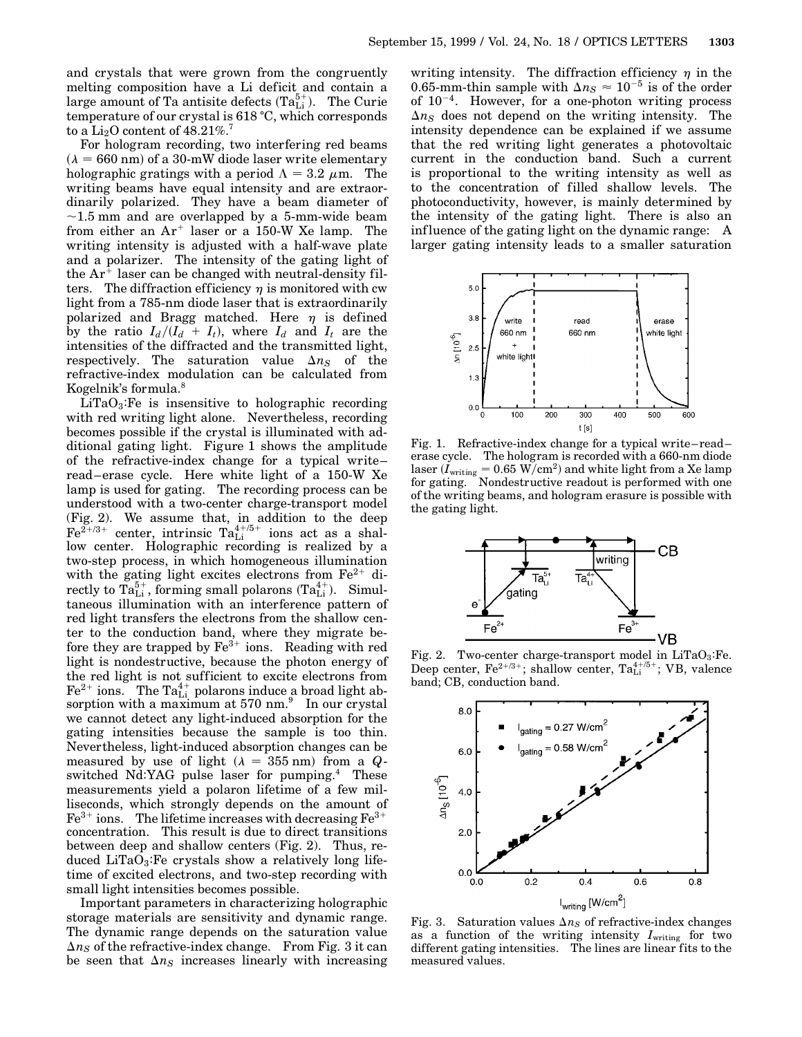and crystals that were grown from the congruently melting composition have a Li deficit and contain a large amount of Ta antisite defects  $(Ta_{Li}^{5+})$ . The Curie temperature of our crystal is  $618 \degree C$ , which corresponds to a  $\rm Li_2O$  content of 48.21%.<sup>7</sup>

For hologram recording, two interfering red beams  $(\lambda = 660 \text{ nm})$  of a 30-mW diode laser write elementary holographic gratings with a period  $\Lambda = 3.2 \mu m$ . The writing beams have equal intensity and are extraordinarily polarized. They have a beam diameter of  $\sim$ 1.5 mm and are overlapped by a 5-mm-wide beam from either an  $Ar^+$  laser or a 150-W Xe lamp. The writing intensity is adjusted with a half-wave plate and a polarizer. The intensity of the gating light of the  $Ar^+$  laser can be changed with neutral-density filters. The diffraction efficiency  $\eta$  is monitored with cw light from a 785-nm diode laser that is extraordinarily polarized and Bragg matched. Here  $\eta$  is defined by the ratio  $I_d/(I_d + I_t)$ , where  $I_d$  and  $I_t$  are the intensities of the diffracted and the transmitted light, respectively. The saturation value  $\Delta n_S$  of the refractive-index modulation can be calculated from Kogelnik's formula.<sup>8</sup>

 $LiTaO<sub>3</sub>:Fe$  is insensitive to holographic recording with red writing light alone. Nevertheless, recording becomes possible if the crystal is illuminated with additional gating light. Figure 1 shows the amplitude of the refractive-index change for a typical write– read–erase cycle. Here white light of a 150-W Xe lamp is used for gating. The recording process can be understood with a two-center charge-transport model (Fig. 2). We assume that, in addition to the deep  $\text{Fe}^{2+/3+}$  center, intrinsic  $\text{Ta}_{\text{Li}}^{4+/5+}$  ions act as a shallow center. Holographic recording is realized by a two-step process, in which homogeneous illumination with the gating light excites electrons from  $Fe^{2+}$  directly to  $\text{Ta}_{\text{Li}}^{5+}$ , forming small polarons  $(\text{Ta}_{\text{Li}}^{4+})$ . Simultaneous illumination with an interference pattern of red light transfers the electrons from the shallow center to the conduction band, where they migrate before they are trapped by  $Fe^{3+}$  ions. Reading with red light is nondestructive, because the photon energy of the red light is not sufficient to excite electrons from  $\text{Fe}^{2+}$  ions. The  $\text{Ta}^{4+}_{\text{Li}}$  polarons induce a broad light absorption with a maximum at  $570$  nm. $9$  In our crystal we cannot detect any light-induced absorption for the gating intensities because the sample is too thin. Nevertheless, light-induced absorption changes can be measured by use of light  $(\lambda = 355 \text{ nm})$  from a *Q*switched Nd:YAG pulse laser for pumping.<sup>4</sup> These measurements yield a polaron lifetime of a few milliseconds, which strongly depends on the amount of  $Fe<sup>3+</sup>$  ions. The lifetime increases with decreasing  $Fe<sup>3+</sup>$ concentration. This result is due to direct transitions between deep and shallow centers (Fig. 2). Thus, reduced  $LiTaO_3$ : Fe crystals show a relatively long lifetime of excited electrons, and two-step recording with small light intensities becomes possible.

Important parameters in characterizing holographic storage materials are sensitivity and dynamic range. The dynamic range depends on the saturation value  $\Delta n_S$  of the refractive-index change. From Fig. 3 it can be seen that  $\Delta n_S$  increases linearly with increasing

writing intensity. The diffraction efficiency  $\eta$  in the 0.65-mm-thin sample with  $\Delta n_S \approx 10^{-5}$  is of the order of  $10^{-4}$ . However, for a one-photon writing process  $\Delta n_S$  does not depend on the writing intensity. The intensity dependence can be explained if we assume that the red writing light generates a photovoltaic current in the conduction band. Such a current is proportional to the writing intensity as well as to the concentration of filled shallow levels. The photoconductivity, however, is mainly determined by the intensity of the gating light. There is also an influence of the gating light on the dynamic range: A larger gating intensity leads to a smaller saturation



Fig. 1. Refractive-index change for a typical write–read– erase cycle. The hologram is recorded with a 660-nm diode  $\text{laser}\ (I_\text{writing}=0.65\ \text{W}/\text{cm}^2)$  and white light from a Xe lamp for gating. Nondestructive readout is performed with one of the writing beams, and hologram erasure is possible with the gating light.



Fig. 2. Two-center charge-transport model in  $LiTaO_3$ : Fe. Deep center, Fe<sup>2+/3+</sup>; shallow center, Ta<sup>4+/5+</sup>; VB, valence band; CB, conduction band.



Fig. 3. Saturation values  $\Delta n_S$  of refractive-index changes as a function of the writing intensity  $I_{\text{writing}}$  for two different gating intensities. The lines are linear fits to the measured values.